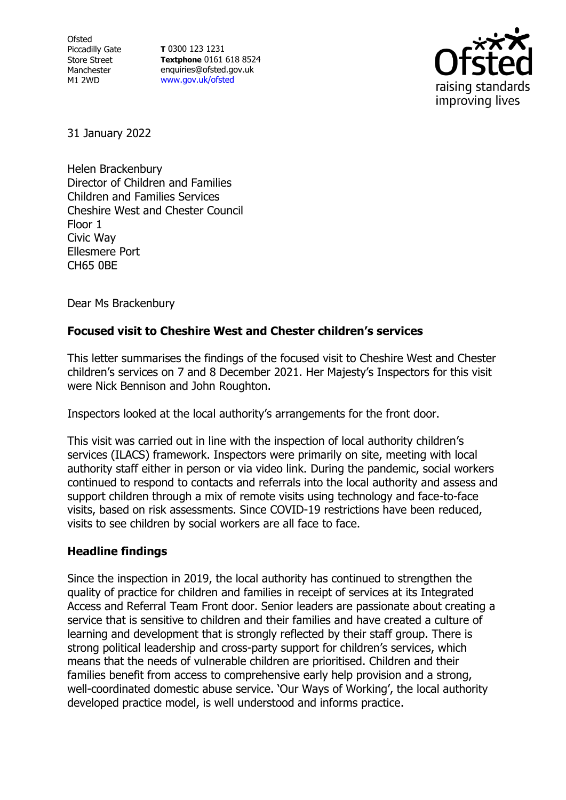Ofsted Piccadilly Gate Store Street Manchester M1 2WD

**T** 0300 123 1231 **Textphone** 0161 618 8524 enquiries@ofsted.gov.uk [www.gov.uk/ofsted](http://www.gov.uk/ofsted)



31 January 2022

Helen Brackenbury Director of Children and Families Children and Families Services Cheshire West and Chester Council Floor 1 Civic Way Ellesmere Port CH65 0BE

Dear Ms Brackenbury

## **Focused visit to Cheshire West and Chester children's services**

This letter summarises the findings of the focused visit to Cheshire West and Chester children's services on 7 and 8 December 2021. Her Majesty's Inspectors for this visit were Nick Bennison and John Roughton.

Inspectors looked at the local authority's arrangements for the front door.

This visit was carried out in line with the inspection of local authority children's services (ILACS) framework. Inspectors were primarily on site, meeting with local authority staff either in person or via video link. During the pandemic, social workers continued to respond to contacts and referrals into the local authority and assess and support children through a mix of remote visits using technology and face-to-face visits, based on risk assessments. Since COVID-19 restrictions have been reduced, visits to see children by social workers are all face to face.

## **Headline findings**

Since the inspection in 2019, the local authority has continued to strengthen the quality of practice for children and families in receipt of services at its Integrated Access and Referral Team Front door. Senior leaders are passionate about creating a service that is sensitive to children and their families and have created a culture of learning and development that is strongly reflected by their staff group. There is strong political leadership and cross-party support for children's services, which means that the needs of vulnerable children are prioritised. Children and their families benefit from access to comprehensive early help provision and a strong, well-coordinated domestic abuse service. 'Our Ways of Working', the local authority developed practice model, is well understood and informs practice.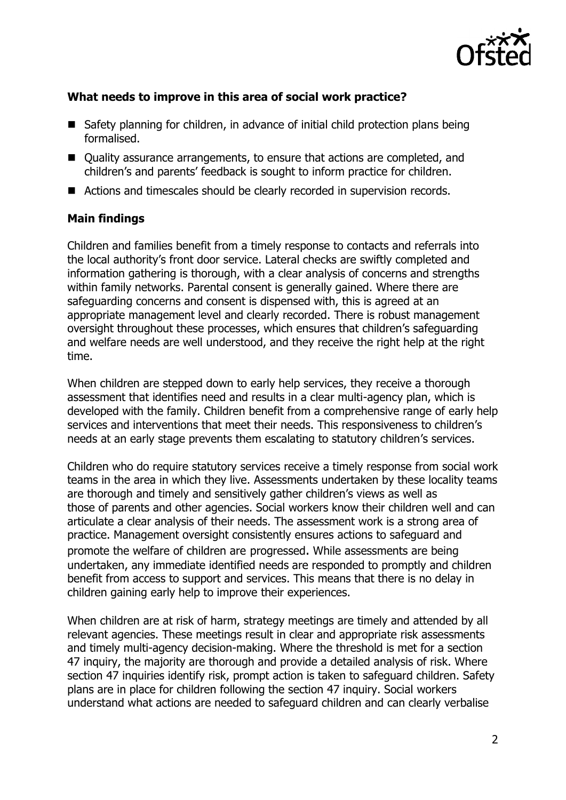

## **What needs to improve in this area of social work practice?**

- Safety planning for children, in advance of initial child protection plans being formalised.
- Quality assurance arrangements, to ensure that actions are completed, and children's and parents' feedback is sought to inform practice for children.
- Actions and timescales should be clearly recorded in supervision records.

## **Main findings**

Children and families benefit from a timely response to contacts and referrals into the local authority's front door service. Lateral checks are swiftly completed and information gathering is thorough, with a clear analysis of concerns and strengths within family networks. Parental consent is generally gained. Where there are safeguarding concerns and consent is dispensed with, this is agreed at an appropriate management level and clearly recorded. There is robust management oversight throughout these processes, which ensures that children's safeguarding and welfare needs are well understood, and they receive the right help at the right time.

When children are stepped down to early help services, they receive a thorough assessment that identifies need and results in a clear multi-agency plan, which is developed with the family. Children benefit from a comprehensive range of early help services and interventions that meet their needs. This responsiveness to children's needs at an early stage prevents them escalating to statutory children's services.

Children who do require statutory services receive a timely response from social work teams in the area in which they live. Assessments undertaken by these locality teams are thorough and timely and sensitively gather children's views as well as those of parents and other agencies. Social workers know their children well and can articulate a clear analysis of their needs. The assessment work is a strong area of practice. Management oversight consistently ensures actions to safeguard and promote the welfare of children are progressed. While assessments are being undertaken, any immediate identified needs are responded to promptly and children benefit from access to support and services. This means that there is no delay in children gaining early help to improve their experiences.

When children are at risk of harm, strategy meetings are timely and attended by all relevant agencies. These meetings result in clear and appropriate risk assessments and timely multi-agency decision-making. Where the threshold is met for a section 47 inquiry, the majority are thorough and provide a detailed analysis of risk. Where section 47 inquiries identify risk, prompt action is taken to safeguard children. Safety plans are in place for children following the section 47 inquiry. Social workers understand what actions are needed to safeguard children and can clearly verbalise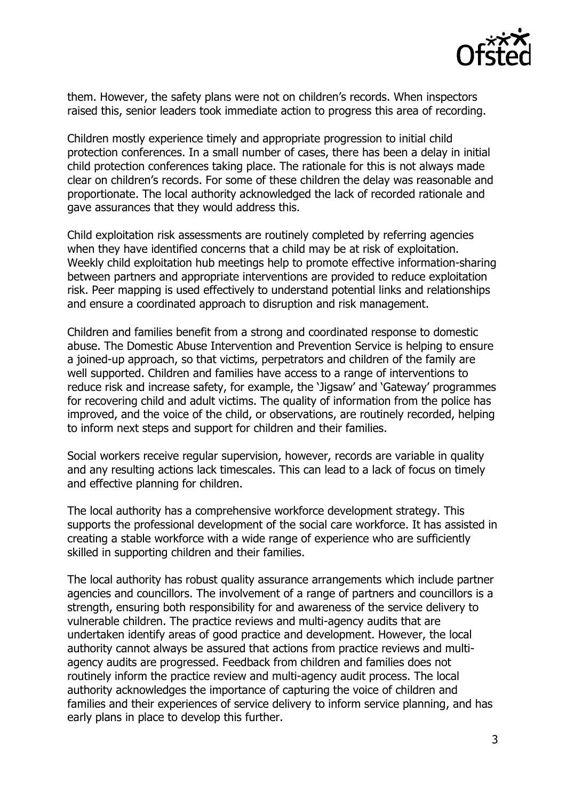

them. However, the safety plans were not on children's records. When inspectors raised this, senior leaders took immediate action to progress this area of recording.

Children mostly experience timely and appropriate progression to initial child protection conferences. In a small number of cases, there has been a delay in initial child protection conferences taking place. The rationale for this is not always made clear on children's records. For some of these children the delay was reasonable and proportionate. The local authority acknowledged the lack of recorded rationale and gave assurances that they would address this.

Child exploitation risk assessments are routinely completed by referring agencies when they have identified concerns that a child may be at risk of exploitation. Weekly child exploitation hub meetings help to promote effective information-sharing between partners and appropriate interventions are provided to reduce exploitation risk. Peer mapping is used effectively to understand potential links and relationships and ensure a coordinated approach to disruption and risk management.

Children and families benefit from a strong and coordinated response to domestic abuse. The Domestic Abuse Intervention and Prevention Service is helping to ensure a joined-up approach, so that victims, perpetrators and children of the family are well supported. Children and families have access to a range of interventions to reduce risk and increase safety, for example, the 'Jigsaw' and 'Gateway' programmes for recovering child and adult victims. The quality of information from the police has improved, and the voice of the child, or observations, are routinely recorded, helping to inform next steps and support for children and their families.

Social workers receive regular supervision, however, records are variable in quality and any resulting actions lack timescales. This can lead to a lack of focus on timely and effective planning for children.

The local authority has a comprehensive workforce development strategy. This supports the professional development of the social care workforce. It has assisted in creating a stable workforce with a wide range of experience who are sufficiently skilled in supporting children and their families.

The local authority has robust quality assurance arrangements which include partner agencies and councillors. The involvement of a range of partners and councillors is a strength, ensuring both responsibility for and awareness of the service delivery to vulnerable children. The practice reviews and multi-agency audits that are undertaken identify areas of good practice and development. However, the local authority cannot always be assured that actions from practice reviews and multiagency audits are progressed. Feedback from children and families does not routinely inform the practice review and multi-agency audit process. The local authority acknowledges the importance of capturing the voice of children and families and their experiences of service delivery to inform service planning, and has early plans in place to develop this further.